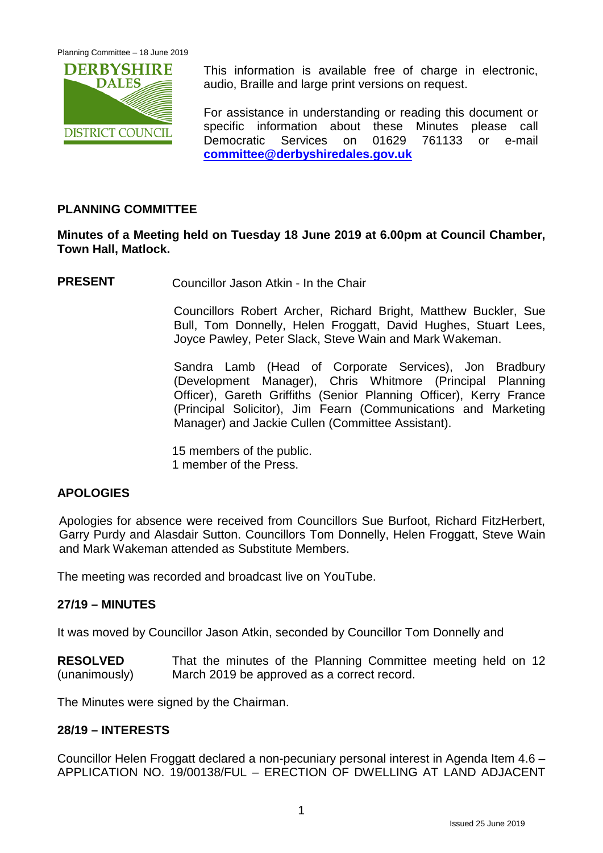

This information is available free of charge in electronic, audio, Braille and large print versions on request.

For assistance in understanding or reading this document or specific information about these Minutes please call Democratic Services on 01629 761133 or e-mail **[committee@derbyshiredales.gov.uk](mailto:committee@derbyshiredales.gov.uk)**

# **PLANNING COMMITTEE**

# **Minutes of a Meeting held on Tuesday 18 June 2019 at 6.00pm at Council Chamber, Town Hall, Matlock.**

**PRESENT** Councillor Jason Atkin - In the Chair

Councillors Robert Archer, Richard Bright, Matthew Buckler, Sue Bull, Tom Donnelly, Helen Froggatt, David Hughes, Stuart Lees, Joyce Pawley, Peter Slack, Steve Wain and Mark Wakeman.

Sandra Lamb (Head of Corporate Services), Jon Bradbury (Development Manager), Chris Whitmore (Principal Planning Officer), Gareth Griffiths (Senior Planning Officer), Kerry France (Principal Solicitor), Jim Fearn (Communications and Marketing Manager) and Jackie Cullen (Committee Assistant).

15 members of the public. 1 member of the Press.

# **APOLOGIES**

Apologies for absence were received from Councillors Sue Burfoot, Richard FitzHerbert, Garry Purdy and Alasdair Sutton. Councillors Tom Donnelly, Helen Froggatt, Steve Wain and Mark Wakeman attended as Substitute Members.

The meeting was recorded and broadcast live on YouTube.

# **27/19 – MINUTES**

It was moved by Councillor Jason Atkin, seconded by Councillor Tom Donnelly and

**RESOLVED** (unanimously) That the minutes of the Planning Committee meeting held on 12 March 2019 be approved as a correct record.

The Minutes were signed by the Chairman.

#### **28/19 – INTERESTS**

Councillor Helen Froggatt declared a non-pecuniary personal interest in Agenda Item 4.6 – APPLICATION NO. 19/00138/FUL – ERECTION OF DWELLING AT LAND ADJACENT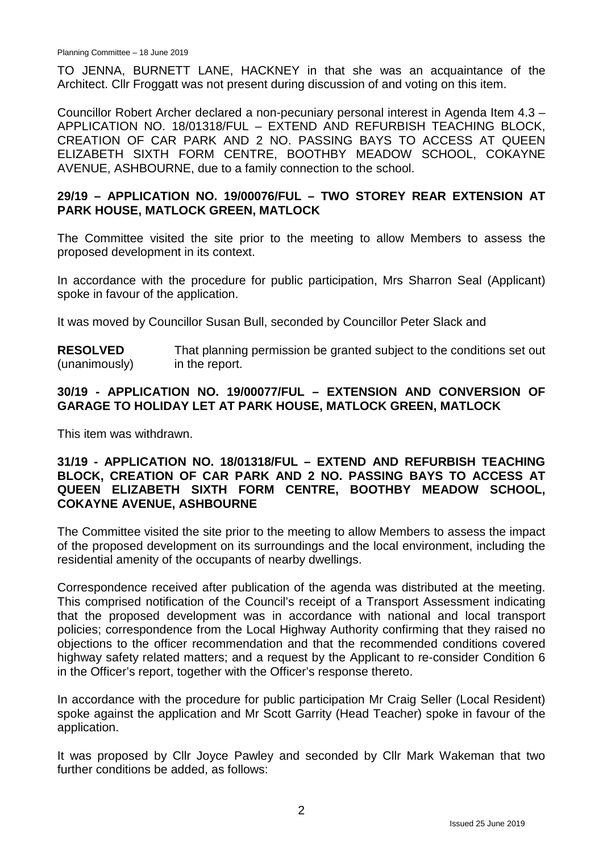TO JENNA, BURNETT LANE, HACKNEY in that she was an acquaintance of the Architect. Cllr Froggatt was not present during discussion of and voting on this item.

Councillor Robert Archer declared a non-pecuniary personal interest in Agenda Item 4.3 – APPLICATION NO. 18/01318/FUL – EXTEND AND REFURBISH TEACHING BLOCK, CREATION OF CAR PARK AND 2 NO. PASSING BAYS TO ACCESS AT QUEEN ELIZABETH SIXTH FORM CENTRE, BOOTHBY MEADOW SCHOOL, COKAYNE AVENUE, ASHBOURNE, due to a family connection to the school.

# **29/19 – APPLICATION NO. 19/00076/FUL – TWO STOREY REAR EXTENSION AT PARK HOUSE, MATLOCK GREEN, MATLOCK**

The Committee visited the site prior to the meeting to allow Members to assess the proposed development in its context.

In accordance with the procedure for public participation, Mrs Sharron Seal (Applicant) spoke in favour of the application.

It was moved by Councillor Susan Bull, seconded by Councillor Peter Slack and

**RESOLVED** (unanimously) That planning permission be granted subject to the conditions set out in the report.

## **30/19 - APPLICATION NO. 19/00077/FUL – EXTENSION AND CONVERSION OF GARAGE TO HOLIDAY LET AT PARK HOUSE, MATLOCK GREEN, MATLOCK**

This item was withdrawn.

## **31/19 - APPLICATION NO. 18/01318/FUL – EXTEND AND REFURBISH TEACHING BLOCK, CREATION OF CAR PARK AND 2 NO. PASSING BAYS TO ACCESS AT QUEEN ELIZABETH SIXTH FORM CENTRE, BOOTHBY MEADOW SCHOOL, COKAYNE AVENUE, ASHBOURNE**

The Committee visited the site prior to the meeting to allow Members to assess the impact of the proposed development on its surroundings and the local environment, including the residential amenity of the occupants of nearby dwellings.

Correspondence received after publication of the agenda was distributed at the meeting. This comprised notification of the Council's receipt of a Transport Assessment indicating that the proposed development was in accordance with national and local transport policies; correspondence from the Local Highway Authority confirming that they raised no objections to the officer recommendation and that the recommended conditions covered highway safety related matters; and a request by the Applicant to re-consider Condition 6 in the Officer's report, together with the Officer's response thereto.

In accordance with the procedure for public participation Mr Craig Seller (Local Resident) spoke against the application and Mr Scott Garrity (Head Teacher) spoke in favour of the application.

It was proposed by Cllr Joyce Pawley and seconded by Cllr Mark Wakeman that two further conditions be added, as follows: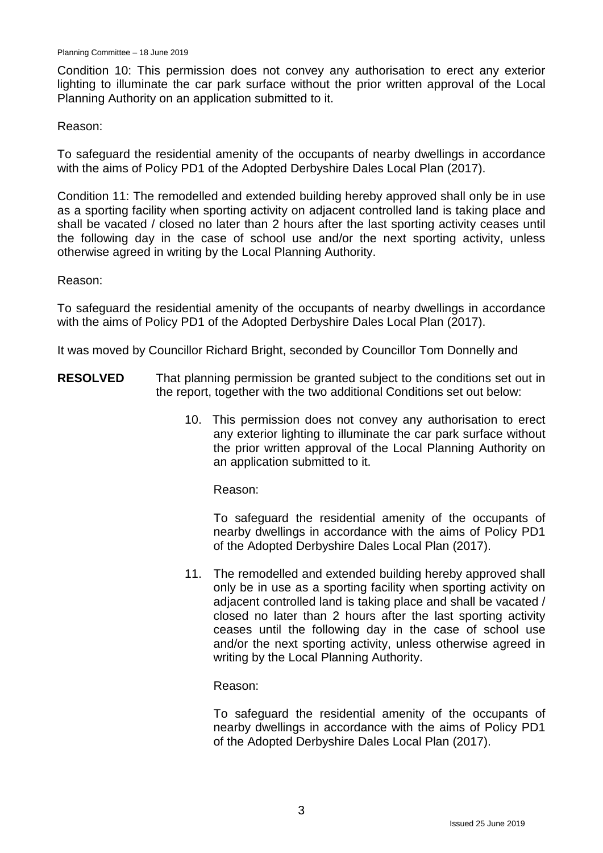Condition 10: This permission does not convey any authorisation to erect any exterior lighting to illuminate the car park surface without the prior written approval of the Local Planning Authority on an application submitted to it.

#### Reason:

To safeguard the residential amenity of the occupants of nearby dwellings in accordance with the aims of Policy PD1 of the Adopted Derbyshire Dales Local Plan (2017).

Condition 11: The remodelled and extended building hereby approved shall only be in use as a sporting facility when sporting activity on adjacent controlled land is taking place and shall be vacated / closed no later than 2 hours after the last sporting activity ceases until the following day in the case of school use and/or the next sporting activity, unless otherwise agreed in writing by the Local Planning Authority.

#### Reason:

To safeguard the residential amenity of the occupants of nearby dwellings in accordance with the aims of Policy PD1 of the Adopted Derbyshire Dales Local Plan (2017).

It was moved by Councillor Richard Bright, seconded by Councillor Tom Donnelly and

- **RESOLVED** That planning permission be granted subject to the conditions set out in the report, together with the two additional Conditions set out below:
	- 10. This permission does not convey any authorisation to erect any exterior lighting to illuminate the car park surface without the prior written approval of the Local Planning Authority on an application submitted to it.

Reason:

To safeguard the residential amenity of the occupants of nearby dwellings in accordance with the aims of Policy PD1 of the Adopted Derbyshire Dales Local Plan (2017).

11. The remodelled and extended building hereby approved shall only be in use as a sporting facility when sporting activity on adjacent controlled land is taking place and shall be vacated / closed no later than 2 hours after the last sporting activity ceases until the following day in the case of school use and/or the next sporting activity, unless otherwise agreed in writing by the Local Planning Authority.

Reason:

To safeguard the residential amenity of the occupants of nearby dwellings in accordance with the aims of Policy PD1 of the Adopted Derbyshire Dales Local Plan (2017).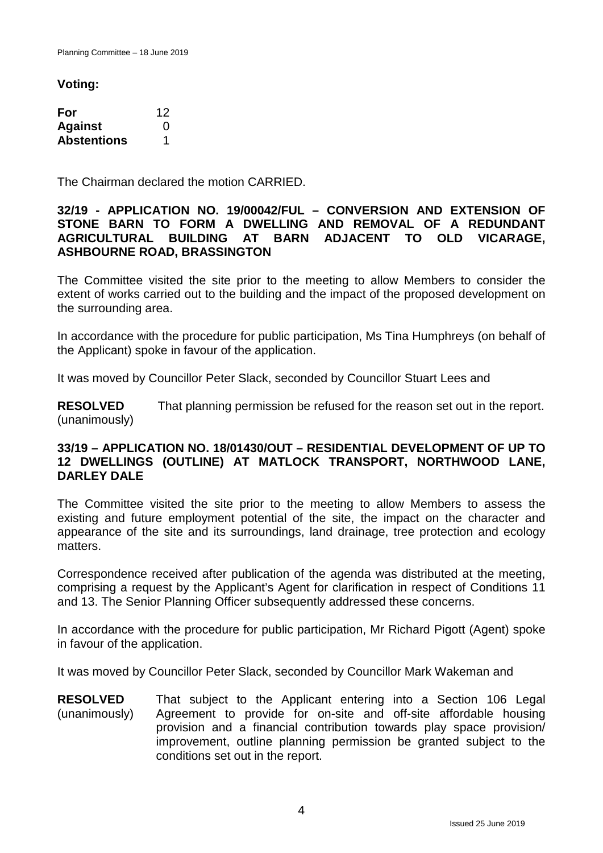**Voting:**

| For                | 12 |
|--------------------|----|
| <b>Against</b>     | 0  |
| <b>Abstentions</b> |    |

The Chairman declared the motion CARRIED.

# **32/19 - APPLICATION NO. 19/00042/FUL – CONVERSION AND EXTENSION OF STONE BARN TO FORM A DWELLING AND REMOVAL OF A REDUNDANT AGRICULTURAL BUILDING AT ASHBOURNE ROAD, BRASSINGTON**

The Committee visited the site prior to the meeting to allow Members to consider the extent of works carried out to the building and the impact of the proposed development on the surrounding area.

In accordance with the procedure for public participation, Ms Tina Humphreys (on behalf of the Applicant) spoke in favour of the application.

It was moved by Councillor Peter Slack, seconded by Councillor Stuart Lees and

**RESOLVED** (unanimously) That planning permission be refused for the reason set out in the report.

# **33/19 – APPLICATION NO. 18/01430/OUT – RESIDENTIAL DEVELOPMENT OF UP TO 12 DWELLINGS (OUTLINE) AT MATLOCK TRANSPORT, NORTHWOOD LANE, DARLEY DALE**

The Committee visited the site prior to the meeting to allow Members to assess the existing and future employment potential of the site, the impact on the character and appearance of the site and its surroundings, land drainage, tree protection and ecology matters.

Correspondence received after publication of the agenda was distributed at the meeting, comprising a request by the Applicant's Agent for clarification in respect of Conditions 11 and 13. The Senior Planning Officer subsequently addressed these concerns.

In accordance with the procedure for public participation, Mr Richard Pigott (Agent) spoke in favour of the application.

It was moved by Councillor Peter Slack, seconded by Councillor Mark Wakeman and

**RESOLVED** (unanimously) That subject to the Applicant entering into a Section 106 Legal Agreement to provide for on-site and off-site affordable housing provision and a financial contribution towards play space provision/ improvement, outline planning permission be granted subject to the conditions set out in the report.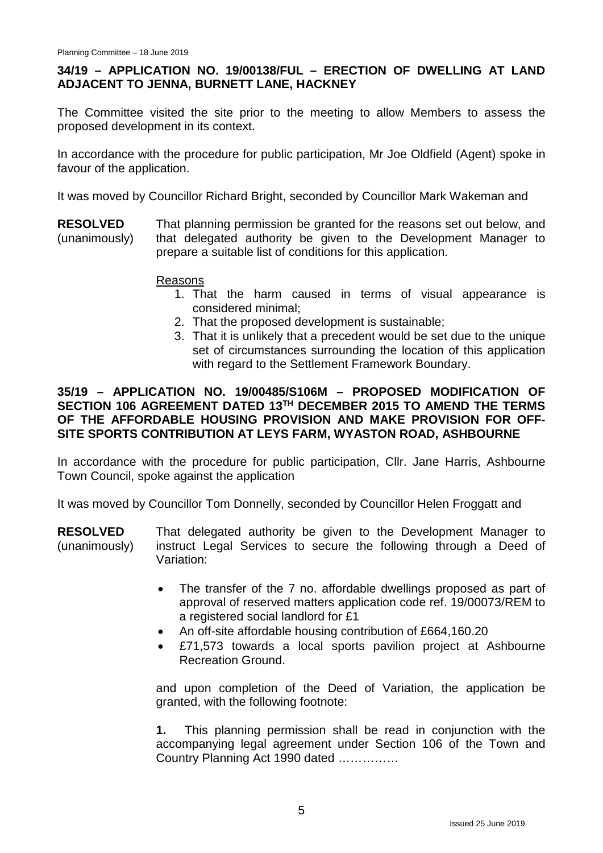# **34/19 – APPLICATION NO. 19/00138/FUL – ERECTION OF DWELLING AT LAND ADJACENT TO JENNA, BURNETT LANE, HACKNEY**

The Committee visited the site prior to the meeting to allow Members to assess the proposed development in its context.

In accordance with the procedure for public participation, Mr Joe Oldfield (Agent) spoke in favour of the application.

It was moved by Councillor Richard Bright, seconded by Councillor Mark Wakeman and

**RESOLVED** (unanimously) That planning permission be granted for the reasons set out below, and that delegated authority be given to the Development Manager to prepare a suitable list of conditions for this application.

#### Reasons

- 1. That the harm caused in terms of visual appearance is considered minimal;
- 2. That the proposed development is sustainable;
- 3. That it is unlikely that a precedent would be set due to the unique set of circumstances surrounding the location of this application with regard to the Settlement Framework Boundary.

# **35/19 – APPLICATION NO. 19/00485/S106M – PROPOSED MODIFICATION OF SECTION 106 AGREEMENT DATED 13TH DECEMBER 2015 TO AMEND THE TERMS OF THE AFFORDABLE HOUSING PROVISION AND MAKE PROVISION FOR OFF-SITE SPORTS CONTRIBUTION AT LEYS FARM, WYASTON ROAD, ASHBOURNE**

In accordance with the procedure for public participation, CIIr. Jane Harris, Ashbourne Town Council, spoke against the application

It was moved by Councillor Tom Donnelly, seconded by Councillor Helen Froggatt and

**RESOLVED** (unanimously) That delegated authority be given to the Development Manager to instruct Legal Services to secure the following through a Deed of Variation:

- The transfer of the 7 no. affordable dwellings proposed as part of approval of reserved matters application code ref. 19/00073/REM to a registered social landlord for £1
- An off-site affordable housing contribution of £664,160.20
- £71,573 towards a local sports pavilion project at Ashbourne Recreation Ground.

and upon completion of the Deed of Variation, the application be granted, with the following footnote:

**1.** This planning permission shall be read in conjunction with the accompanying legal agreement under Section 106 of the Town and Country Planning Act 1990 dated ……………